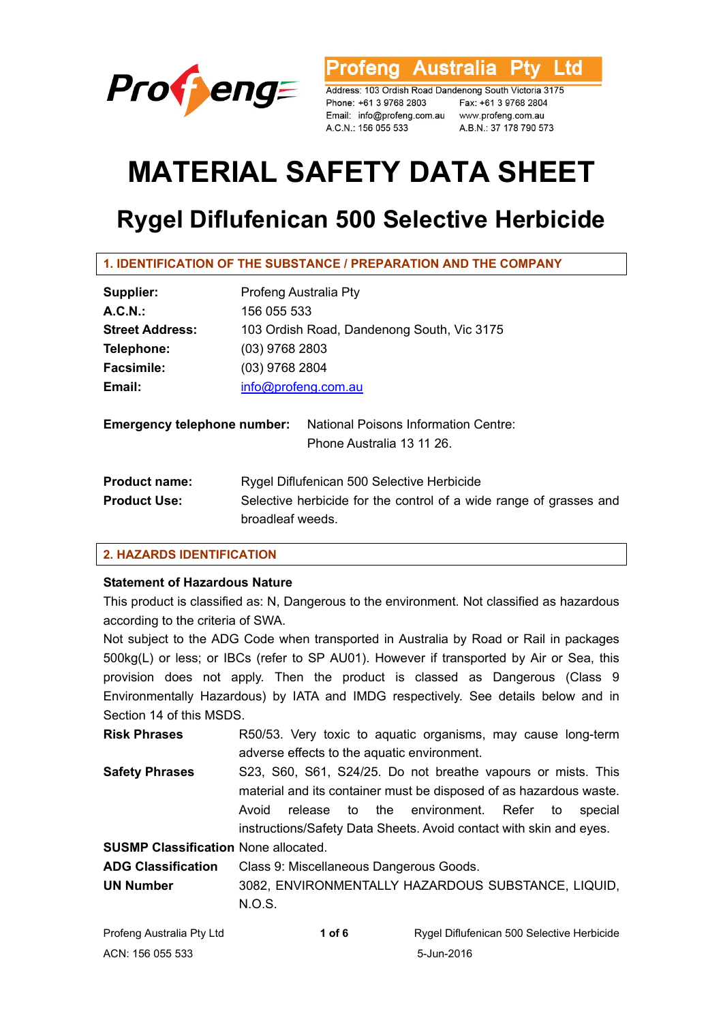

**Australia** l td ofena

Address: 103 Ordish Road Dandenong South Victoria 3175 Phone: +61 3 9768 2803 Fax: +61 3 9768 2804 Email: info@profeng.com.au www.profeng.com.au A.C.N.: 156 055 533

A.B.N.: 37 178 790 573

# **MATERIAL SAFETY DATA SHEET**

## **Rygel Diflufenican 500 Selective Herbicide**

| Supplier:              | Profeng Australia Pty                      |
|------------------------|--------------------------------------------|
| A.C.N.                 | 156 055 533                                |
| <b>Street Address:</b> | 103 Ordish Road, Dandenong South, Vic 3175 |
| Telephone:             | $(03)$ 9768 2803                           |
| <b>Facsimile:</b>      | (03) 9768 2804                             |
| Email:                 | info@profeng.com.au                        |

| <b>Emergency telephone number:</b> National Poisons Information Centre: |  |
|-------------------------------------------------------------------------|--|
| Phone Australia 13 11 26.                                               |  |
|                                                                         |  |

| <b>Product name:</b> | Rygel Diflufenican 500 Selective Herbicide                         |
|----------------------|--------------------------------------------------------------------|
| <b>Product Use:</b>  | Selective herbicide for the control of a wide range of grasses and |
|                      | broadleaf weeds.                                                   |

### **2. HAZARDS IDENTIFICATION**

### **Statement of Hazardous Nature**

This product is classified as: N, Dangerous to the environment. Not classified as hazardous according to the criteria of SWA.

Not subject to the ADG Code when transported in Australia by Road or Rail in packages 500kg(L) or less; or IBCs (refer to SP AU01). However if transported by Air or Sea, this provision does not apply. Then the product is classed as Dangerous (Class 9 Environmentally Hazardous) by IATA and IMDG respectively. See details below and in Section 14 of this MSDS.

**Risk Phrases** R50/53. Very toxic to aquatic organisms, may cause long-term adverse effects to the aquatic environment. **Safety Phrases** S23, S60, S61, S24/25. Do not breathe vapours or mists. This material and its container must be disposed of as hazardous waste.

Avoid release to the environment. Refer to special instructions/Safety Data Sheets. Avoid contact with skin and eyes.

**SUSMP Classification** None allocated.

**ADG Classification** Class 9: Miscellaneous Dangerous Goods.

**UN Number** 3082, ENVIRONMENTALLY HAZARDOUS SUBSTANCE, LIQUID, N.O.S.

| Profeng Australia Pty Ltd | 1 of 6 | Rygel Diflufenican 500 Selective Herbicide |
|---------------------------|--------|--------------------------------------------|
| ACN: 156 055 533          |        | 5-Jun-2016                                 |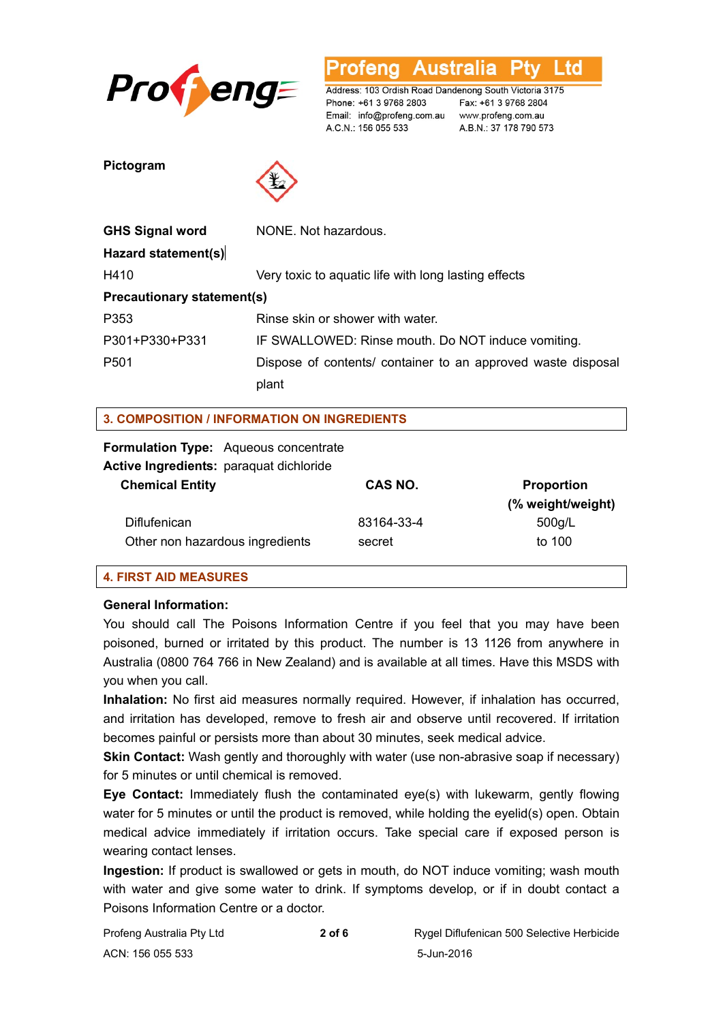

Australia L td ofena

Address: 103 Ordish Road Dandenong South Victoria 3175 Phone: +61 3 9768 2803 Email: info@profeng.com.au www.profeng.com.au A.C.N.: 156 055 533

Fax: +61 3 9768 2804 A.B.N.: 37 178 790 573

**Pictogram** 



| <b>GHS Signal word</b>            | NONE. Not hazardous.                                         |  |
|-----------------------------------|--------------------------------------------------------------|--|
| Hazard statement(s)               |                                                              |  |
| H410                              | Very toxic to aquatic life with long lasting effects         |  |
| <b>Precautionary statement(s)</b> |                                                              |  |
| P353                              | Rinse skin or shower with water.                             |  |
| P301+P330+P331                    | IF SWALLOWED: Rinse mouth. Do NOT induce vomiting.           |  |
| P <sub>501</sub>                  | Dispose of contents/ container to an approved waste disposal |  |
|                                   | plant                                                        |  |

### **3. COMPOSITION / INFORMATION ON INGREDIENTS**

### **Formulation Type:** Aqueous concentrate

**Active Ingredients:** paraquat dichloride

| <b>Chemical Entity</b>          | CAS NO.    | <b>Proportion</b><br>(% weight/weight) |
|---------------------------------|------------|----------------------------------------|
| <b>Diflufenican</b>             | 83164-33-4 | 500q/L                                 |
| Other non hazardous ingredients | secret     | to 100                                 |

### **4. FIRST AID MEASURES**

### **General Information:**

You should call The Poisons Information Centre if you feel that you may have been poisoned, burned or irritated by this product. The number is 13 1126 from anywhere in Australia (0800 764 766 in New Zealand) and is available at all times. Have this MSDS with you when you call.

**Inhalation:** No first aid measures normally required. However, if inhalation has occurred, and irritation has developed, remove to fresh air and observe until recovered. If irritation becomes painful or persists more than about 30 minutes, seek medical advice.

**Skin Contact:** Wash gently and thoroughly with water (use non-abrasive soap if necessary) for 5 minutes or until chemical is removed.

**Eye Contact:** Immediately flush the contaminated eye(s) with lukewarm, gently flowing water for 5 minutes or until the product is removed, while holding the eyelid(s) open. Obtain medical advice immediately if irritation occurs. Take special care if exposed person is wearing contact lenses.

**Ingestion:** If product is swallowed or gets in mouth, do NOT induce vomiting; wash mouth with water and give some water to drink. If symptoms develop, or if in doubt contact a Poisons Information Centre or a doctor.

| Profeng Australia Pty Ltd | 2 of 6 | Rygel Diflufenican 500 Selective Herbicide |
|---------------------------|--------|--------------------------------------------|
| ACN: 156 055 533          |        | 5-Jun-2016                                 |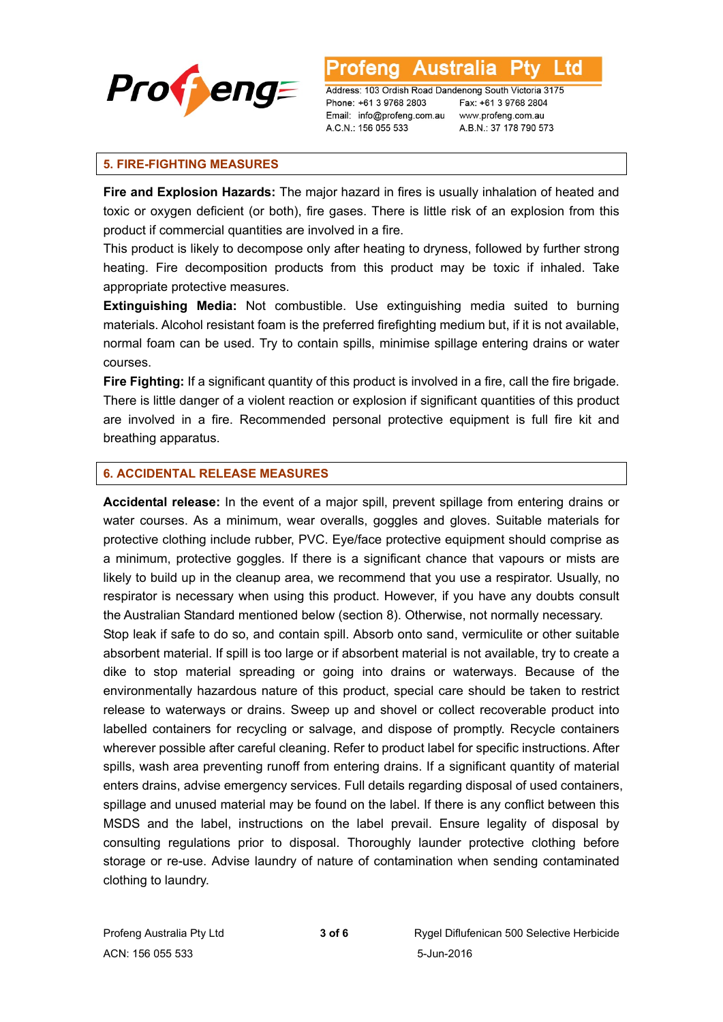

Address: 103 Ordish Road Dandenong South Victoria 3175 Phone: +61 3 9768 2803 Email: info@profeng.com.au

Fax: +61 3 9768 2804 www.profeng.com.au A.B.N.: 37 178 790 573

L td

### **5. FIRE-FIGHTING MEASURES**

**Fire and Explosion Hazards:** The major hazard in fires is usually inhalation of heated and toxic or oxygen deficient (or both), fire gases. There is little risk of an explosion from this product if commercial quantities are involved in a fire.

A.C.N.: 156 055 533

This product is likely to decompose only after heating to dryness, followed by further strong heating. Fire decomposition products from this product may be toxic if inhaled. Take appropriate protective measures.

**Extinguishing Media:** Not combustible. Use extinguishing media suited to burning materials. Alcohol resistant foam is the preferred firefighting medium but, if it is not available, normal foam can be used. Try to contain spills, minimise spillage entering drains or water courses.

**Fire Fighting:** If a significant quantity of this product is involved in a fire, call the fire brigade. There is little danger of a violent reaction or explosion if significant quantities of this product are involved in a fire. Recommended personal protective equipment is full fire kit and breathing apparatus.

### **6. ACCIDENTAL RELEASE MEASURES**

**Accidental release:** In the event of a major spill, prevent spillage from entering drains or water courses. As a minimum, wear overalls, goggles and gloves. Suitable materials for protective clothing include rubber, PVC. Eye/face protective equipment should comprise as a minimum, protective goggles. If there is a significant chance that vapours or mists are likely to build up in the cleanup area, we recommend that you use a respirator. Usually, no respirator is necessary when using this product. However, if you have any doubts consult the Australian Standard mentioned below (section 8). Otherwise, not normally necessary. Stop leak if safe to do so, and contain spill. Absorb onto sand, vermiculite or other suitable absorbent material. If spill is too large or if absorbent material is not available, try to create a dike to stop material spreading or going into drains or waterways. Because of the environmentally hazardous nature of this product, special care should be taken to restrict release to waterways or drains. Sweep up and shovel or collect recoverable product into labelled containers for recycling or salvage, and dispose of promptly. Recycle containers wherever possible after careful cleaning. Refer to product label for specific instructions. After spills, wash area preventing runoff from entering drains. If a significant quantity of material enters drains, advise emergency services. Full details regarding disposal of used containers, spillage and unused material may be found on the label. If there is any conflict between this MSDS and the label, instructions on the label prevail. Ensure legality of disposal by consulting regulations prior to disposal. Thoroughly launder protective clothing before storage or re-use. Advise laundry of nature of contamination when sending contaminated clothing to laundry.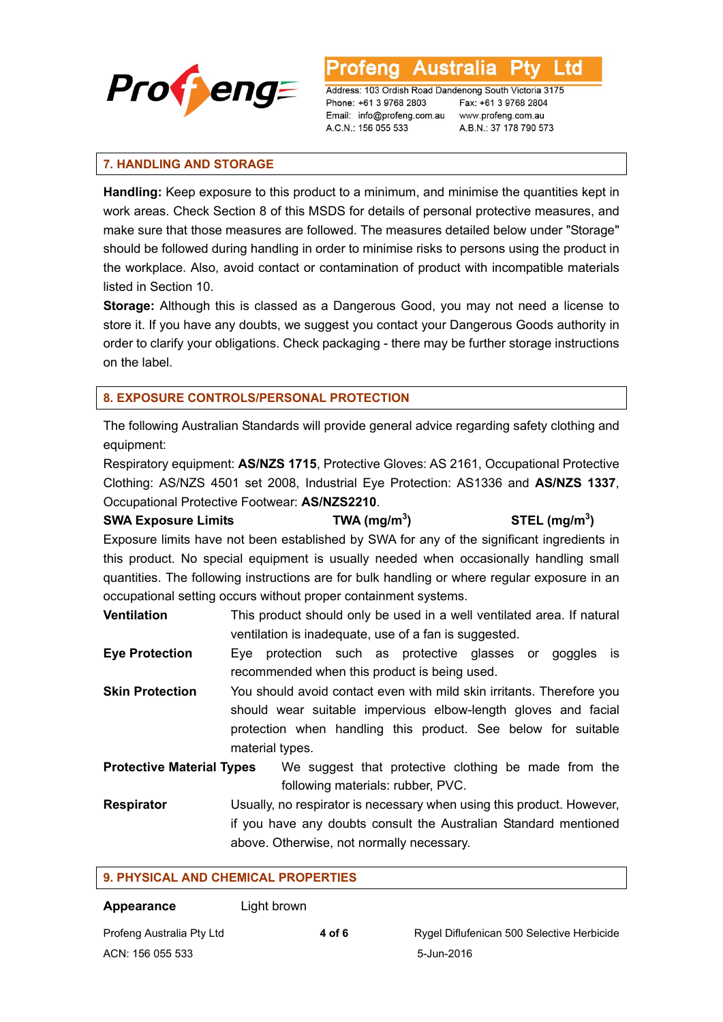

Australia L td ofena

Address: 103 Ordish Road Dandenong South Victoria 3175 Phone: +61 3 9768 2803 Email: info@profeng.com.au A.C.N.: 156 055 533

Fax: +61 3 9768 2804 www.profeng.com.au A.B.N.: 37 178 790 573

### **7. HANDLING AND STORAGE**

**Handling:** Keep exposure to this product to a minimum, and minimise the quantities kept in work areas. Check Section 8 of this MSDS for details of personal protective measures, and make sure that those measures are followed. The measures detailed below under "Storage" should be followed during handling in order to minimise risks to persons using the product in the workplace. Also, avoid contact or contamination of product with incompatible materials listed in Section 10.

**Storage:** Although this is classed as a Dangerous Good, you may not need a license to store it. If you have any doubts, we suggest you contact your Dangerous Goods authority in order to clarify your obligations. Check packaging - there may be further storage instructions on the label.

### **8. EXPOSURE CONTROLS/PERSONAL PROTECTION**

The following Australian Standards will provide general advice regarding safety clothing and equipment:

Respiratory equipment: **AS/NZS 1715**, Protective Gloves: AS 2161, Occupational Protective Clothing: AS/NZS 4501 set 2008, Industrial Eye Protection: AS1336 and **AS/NZS 1337**, Occupational Protective Footwear: **AS/NZS2210**.

### **SWA Exposure Limits TWA (mg/m<sup>3</sup> ) STEL (mg/m3 )**

Exposure limits have not been established by SWA for any of the significant ingredients in this product. No special equipment is usually needed when occasionally handling small quantities. The following instructions are for bulk handling or where regular exposure in an occupational setting occurs without proper containment systems.

**Ventilation** This product should only be used in a well ventilated area. If natural ventilation is inadequate, use of a fan is suggested.

**Eye Protection** Eye protection such as protective glasses or goggles is recommended when this product is being used.

**Skin Protection** You should avoid contact even with mild skin irritants. Therefore you should wear suitable impervious elbow-length gloves and facial protection when handling this product. See below for suitable material types.

**Protective Material Types** We suggest that protective clothing be made from the following materials: rubber, PVC.

**Respirator** Usually, no respirator is necessary when using this product. However, if you have any doubts consult the Australian Standard mentioned above. Otherwise, not normally necessary.

### **9. PHYSICAL AND CHEMICAL PROPERTIES**

**Appearance** Light brown

ACN: 156 055 533 5-Jun-2016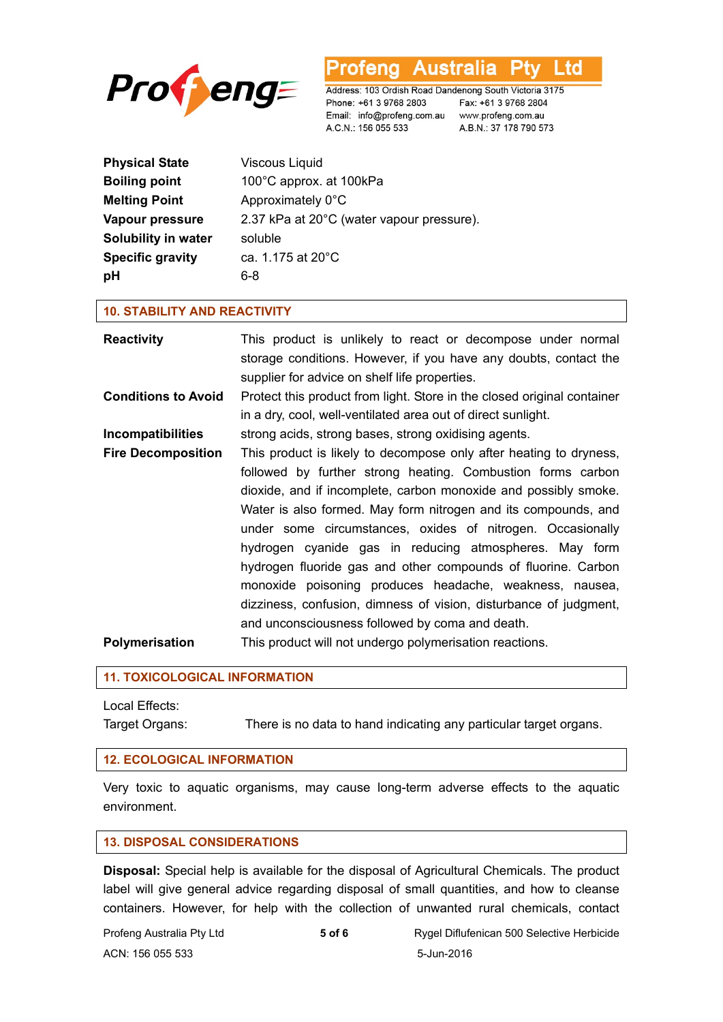



Address: 103 Ordish Road Dandenong South Victoria 3175 Phone: +61 3 9768 2803 Email: info@profeng.com.au www.profeng.com.au A.C.N.: 156 055 533

Fax: +61 3 9768 2804 A.B.N.: 37 178 790 573

| <b>Physical State</b>   | <b>Viscous Liquid</b>                     |
|-------------------------|-------------------------------------------|
| <b>Boiling point</b>    | 100°C approx. at 100kPa                   |
| <b>Melting Point</b>    | Approximately 0°C                         |
| Vapour pressure         | 2.37 kPa at 20°C (water vapour pressure). |
| Solubility in water     | soluble                                   |
| <b>Specific gravity</b> | ca. 1.175 at 20°C                         |
| pH                      | 6-8                                       |

### **10. STABILITY AND REACTIVITY**

| <b>Reactivity</b>          | This product is unlikely to react or decompose under normal<br>storage conditions. However, if you have any doubts, contact the<br>supplier for advice on shelf life properties.                                                                                                                                                                                                                                                                                                                                                                                                                                                                   |
|----------------------------|----------------------------------------------------------------------------------------------------------------------------------------------------------------------------------------------------------------------------------------------------------------------------------------------------------------------------------------------------------------------------------------------------------------------------------------------------------------------------------------------------------------------------------------------------------------------------------------------------------------------------------------------------|
| <b>Conditions to Avoid</b> | Protect this product from light. Store in the closed original container<br>in a dry, cool, well-ventilated area out of direct sunlight.                                                                                                                                                                                                                                                                                                                                                                                                                                                                                                            |
| <b>Incompatibilities</b>   | strong acids, strong bases, strong oxidising agents.                                                                                                                                                                                                                                                                                                                                                                                                                                                                                                                                                                                               |
| <b>Fire Decomposition</b>  | This product is likely to decompose only after heating to dryness,<br>followed by further strong heating. Combustion forms carbon<br>dioxide, and if incomplete, carbon monoxide and possibly smoke.<br>Water is also formed. May form nitrogen and its compounds, and<br>under some circumstances, oxides of nitrogen. Occasionally<br>hydrogen cyanide gas in reducing atmospheres. May form<br>hydrogen fluoride gas and other compounds of fluorine. Carbon<br>monoxide poisoning produces headache, weakness, nausea,<br>dizziness, confusion, dimness of vision, disturbance of judgment,<br>and unconsciousness followed by coma and death. |
| Polymerisation             | This product will not undergo polymerisation reactions.                                                                                                                                                                                                                                                                                                                                                                                                                                                                                                                                                                                            |

### **11. TOXICOLOGICAL INFORMATION**

## Local Effects:

Target Organs: There is no data to hand indicating any particular target organs.

### **12. ECOLOGICAL INFORMATION**

Very toxic to aquatic organisms, may cause long-term adverse effects to the aquatic environment.

### **13. DISPOSAL CONSIDERATIONS**

**Disposal:** Special help is available for the disposal of Agricultural Chemicals. The product label will give general advice regarding disposal of small quantities, and how to cleanse containers. However, for help with the collection of unwanted rural chemicals, contact